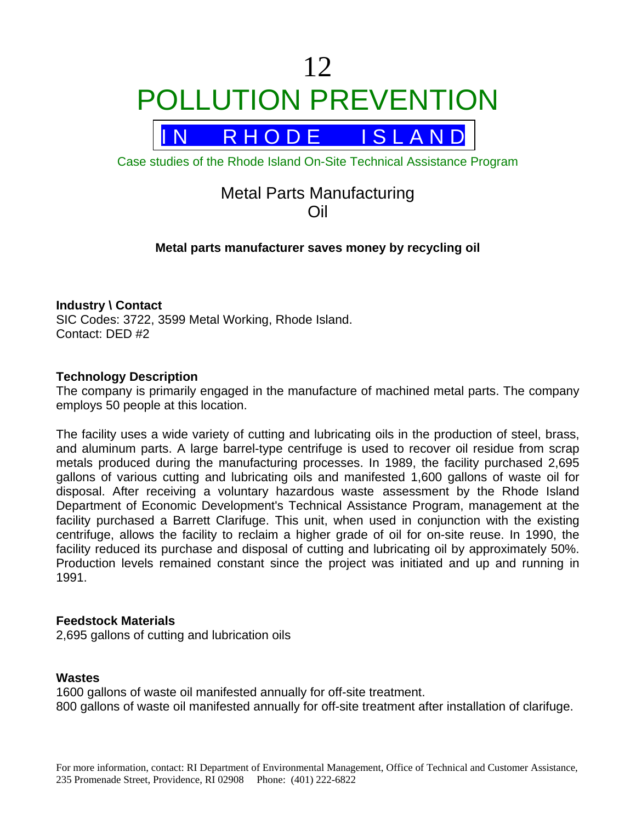# 12 POLLUTION PREVENTION



Case studies of the Rhode Island On-Site Technical Assistance Program

# Metal Parts Manufacturing Oil

# **Metal parts manufacturer saves money by recycling oil**

# **Industry \ Contact**

SIC Codes: 3722, 3599 Metal Working, Rhode Island. Contact: DED #2

#### **Technology Description**

The company is primarily engaged in the manufacture of machined metal parts. The company employs 50 people at this location.

The facility uses a wide variety of cutting and lubricating oils in the production of steel, brass, and aluminum parts. A large barrel-type centrifuge is used to recover oil residue from scrap metals produced during the manufacturing processes. In 1989, the facility purchased 2,695 gallons of various cutting and lubricating oils and manifested 1,600 gallons of waste oil for disposal. After receiving a voluntary hazardous waste assessment by the Rhode Island Department of Economic Development's Technical Assistance Program, management at the facility purchased a Barrett Clarifuge. This unit, when used in conjunction with the existing centrifuge, allows the facility to reclaim a higher grade of oil for on-site reuse. In 1990, the facility reduced its purchase and disposal of cutting and lubricating oil by approximately 50%. Production levels remained constant since the project was initiated and up and running in 1991.

#### **Feedstock Materials**

2,695 gallons of cutting and lubrication oils

#### **Wastes**

1600 gallons of waste oil manifested annually for off-site treatment. 800 gallons of waste oil manifested annually for off-site treatment after installation of clarifuge.